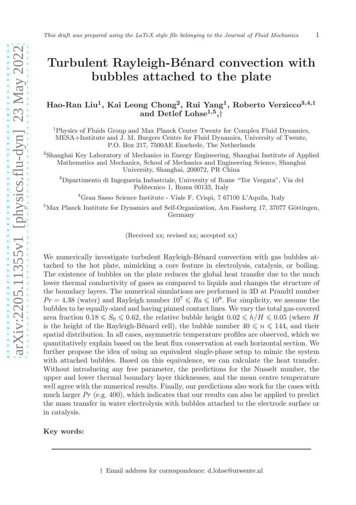# Turbulent Rayleigh-Bénard convection with bubbles attached to the plate

# Hao-Ran Liu<sup>1</sup>, Kai Leong Chong<sup>2</sup>, Rui Yang<sup>1</sup>, Roberto Verzicco<sup>3,4,1</sup> and Detlef Lohse<sup>1,5</sup>,†

<sup>1</sup>Physics of Fluids Group and Max Planck Center Twente for Complex Fluid Dynamics, MESA+Institute and J. M. Burgers Centre for Fluid Dynamics, University of Twente, P.O. Box 217, 7500AE Enschede, The Netherlands

2 Shanghai Key Laboratory of Mechanics in Energy Engineering, Shanghai Institute of Applied Mathematics and Mechanics, School of Mechanics and Engineering Science, Shanghai University, Shanghai, 200072, PR China

<sup>3</sup>Dipartimento di Ingegneria Industriale, University of Rome "Tor Vergata", Via del Politecnico 1, Roma 00133, Italy

<sup>4</sup>Gran Sasso Science Institute - Viale F. Crispi, 7 67100 L'Aquila, Italy

 ${}^{5}$ Max Planck Institute for Dynamics and Self-Organization, Am Fassberg 17, 37077 Göttingen, Germany

(Received xx; revised xx; accepted xx)

We numerically investigate turbulent Rayleigh-Bénard convection with gas bubbles attached to the hot plate, mimicking a core feature in electrolysis, catalysis, or boiling. The existence of bubbles on the plate reduces the global heat transfer due to the much lower thermal conductivity of gases as compared to liquids and changes the structure of the boundary layers. The numerical simulations are performed in 3D at Prandtl number  $Pr = 4.38$  (water) and Rayleigh number  $10^7 \leq R_a \leq 10^8$ . For simplicity, we assume the bubbles to be equally-sized and having pinned contact lines. We vary the total gas-covered area fraction  $0.18 \le S_0 \le 0.62$ , the relative bubble height  $0.02 \le h/H \le 0.05$  (where H is the height of the Rayleigh-Bénard cell), the bubble number  $40 \le n \le 144$ , and their spatial distribution. In all cases, asymmetric temperature profiles are observed, which we quantitatively explain based on the heat flux conservation at each horizontal section. We further propose the idea of using an equivalent single-phase setup to mimic the system with attached bubbles. Based on this equivalence, we can calculate the heat transfer. Without introducing any free parameter, the predictions for the Nusselt number, the upper and lower thermal boundary layer thicknesses, and the mean centre temperature well agree with the numerical results. Finally, our predictions also work for the cases with much larger  $Pr$  (e.g. 400), which indicates that our results can also be applied to predict the mass transfer in water electrolysis with bubbles attached to the electrode surface or in catalysis.

#### Key words: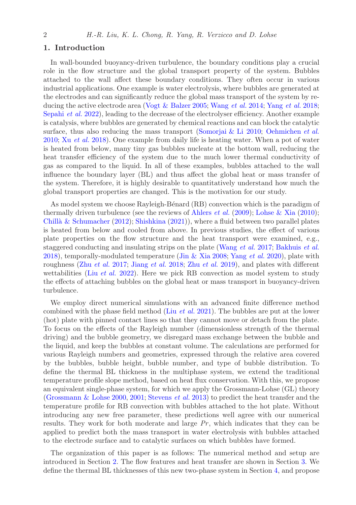## 1. Introduction

In wall-bounded buoyancy-driven turbulence, the boundary conditions play a crucial role in the flow structure and the global transport property of the system. Bubbles attached to the wall affect these boundary conditions. They often occur in various industrial applications. One example is water electrolysis, where bubbles are generated at the electrodes and can significantly reduce the global mass transport of the system by re-ducing the active electrode area [\(Vogt & Balzer 2005;](#page-11-0) [Wang](#page-11-1) et al. [2014;](#page-11-1) Yang [et al.](#page-11-2) [2018;](#page-11-2) [Sepahi](#page-10-0) *et al.* [2022\)](#page-10-0), leading to the decrease of the electrolyser efficiency. Another example is catalysis, where bubbles are generated by chemical reactions and can block the catalytic surface, thus also reducing the mass transport [\(Somorjai & Li 2010;](#page-10-1) [Oehmichen](#page-10-2) et al. [2010;](#page-10-2) Xu [et al.](#page-11-3) [2018](#page-11-3)). One example from daily life is heating water. When a pot of water is heated from below, many tiny gas bubbles nucleate at the bottom wall, reducing the heat transfer efficiency of the system due to the much lower thermal conductivity of gas as compared to the liquid. In all of these examples, bubbles attached to the wall influence the boundary layer (BL) and thus affect the global heat or mass transfer of the system. Therefore, it is highly desirable to quantitatively understand how much the global transport properties are changed. This is the motivation for our study.

As model system we choose Rayleigh-Bénard (RB) convection which is the paradigm of thermally driven turbulence (see the reviews of [Ahlers](#page-10-3) *et al.* [\(2009](#page-10-3)); [Lohse & Xia](#page-10-4) [\(2010\)](#page-10-4); Chillà & Schumacher [\(2012\)](#page-10-5); [Shishkina](#page-10-6) [\(2021\)](#page-10-6)), where a fluid between two parallel plates is heated from below and cooled from above. In previous studies, the effect of various plate properties on the flow structure and the heat transport were examined, e.g., staggered conducting and insulating strips on the plate [\(Wang](#page-11-4) et al. [2017;](#page-11-4) [Bakhuis](#page-10-7) et al. [2018\)](#page-10-7), temporally-modulated temperature [\(Jin & Xia 2008](#page-10-8); Yang [et al.](#page-11-5) [2020\)](#page-11-5), plate with roughness (Zhu [et al.](#page-11-6) [2017;](#page-11-6) [Jiang](#page-10-9) et al. [2018;](#page-10-9) Zhu [et al.](#page-11-7) [2019\)](#page-11-7), and plates with different wettabilities (Liu *[et al.](#page-10-10)* [2022\)](#page-10-10). Here we pick RB convection as model system to study the effects of attaching bubbles on the global heat or mass transport in buoyancy-driven turbulence.

We employ direct numerical simulations with an advanced finite difference method combined with the phase field method (Liu [et al.](#page-10-11) [2021\)](#page-10-11). The bubbles are put at the lower (hot) plate with pinned contact lines so that they cannot move or detach from the plate. To focus on the effects of the Rayleigh number (dimensionless strength of the thermal driving) and the bubble geometry, we disregard mass exchange between the bubble and the liquid, and keep the bubbles at constant volume. The calculations are performed for various Rayleigh numbers and geometries, expressed through the relative area covered by the bubbles, bubble height, bubble number, and type of bubble distribution. To define the thermal BL thickness in the multiphase system, we extend the traditional temperature profile slope method, based on heat flux conservation. With this, we propose an equivalent single-phase system, for which we apply the Grossmann-Lohse (GL) theory [\(Grossmann & Lohse 2000,](#page-10-12) [2001;](#page-10-13) [Stevens](#page-10-14) *et al.* [2013\)](#page-10-14) to predict the heat transfer and the temperature profile for RB convection with bubbles attached to the hot plate. Without introducing any new free parameter, these predictions well agree with our numerical results. They work for both moderate and large  $Pr$ , which indicates that they can be applied to predict both the mass transport in water electrolysis with bubbles attached to the electrode surface and to catalytic surfaces on which bubbles have formed.

The organization of this paper is as follows: The numerical method and setup are introduced in Section [2.](#page-2-0) The flow features and heat transfer are shown in Section [3.](#page-3-0) We define the thermal BL thicknesses of this new two-phase system in Section [4,](#page-6-0) and propose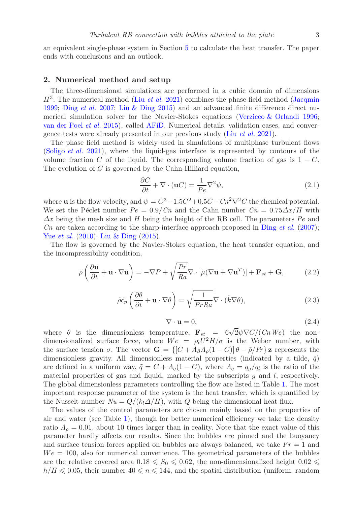an equivalent single-phase system in Section [5](#page-7-0) to calculate the heat transfer. The paper ends with conclusions and an outlook.

#### <span id="page-2-0"></span>2. Numerical method and setup

The three-dimensional simulations are performed in a cubic domain of dimensions  $H^3$ . The numerical method (Liu [et al.](#page-10-11) [2021\)](#page-10-11) combines the phase-field method [\(Jacqmin](#page-10-15) [1999;](#page-10-15) Ding [et al.](#page-10-16) [2007;](#page-10-16) [Liu & Ding 2015](#page-10-17)) and an advanced finite difference direct numerical simulation solver for the Navier-Stokes equations [\(Verzicco & Orlandi 1996;](#page-11-8) [van der Poel](#page-11-9) et al. [2015\)](#page-11-9), called [AFiD.](https://github.com/PhysicsofFluids/AFiD) Numerical details, validation cases, and convergence tests were already presented in our previous study (Liu [et al.](#page-10-11) [2021\)](#page-10-11).

The phase field method is widely used in simulations of multiphase turbulent flows [\(Soligo](#page-10-18) *et al.* [2021\)](#page-10-18), where the liquid-gas interface is represented by contours of the volume fraction C of the liquid. The corresponding volume fraction of gas is  $1 - C$ . The evolution of C is governed by the Cahn-Hilliard equation,

$$
\frac{\partial C}{\partial t} + \nabla \cdot (\mathbf{u}C) = \frac{1}{Pe} \nabla^2 \psi,
$$
\n(2.1)

where **u** is the flow velocity, and  $\psi = C^3 - 1.5C^2 + 0.5C - Cn^2\nabla^2C$  the chemical potential. We set the Péclet number  $Pe = 0.9/Cn$  and the Cahn number  $Cn = 0.75\Delta x/H$  with  $\Delta x$  being the mesh size and H being the height of the RB cell. The parameters  $Pe$  and Cn are taken according to the sharp-interface approach proposed in Ding [et al.](#page-10-16) [\(2007\)](#page-10-16); Yue *[et al.](#page-11-10)* [\(2010](#page-11-10)); [Liu & Ding](#page-10-17) [\(2015](#page-10-17)).

The flow is governed by the Navier-Stokes equation, the heat transfer equation, and the incompressibility condition,

$$
\tilde{\rho}\left(\frac{\partial \mathbf{u}}{\partial t} + \mathbf{u} \cdot \nabla \mathbf{u}\right) = -\nabla P + \sqrt{\frac{Pr}{Ra}} \nabla \cdot \left[\tilde{\mu}(\nabla \mathbf{u} + \nabla \mathbf{u}^T)\right] + \mathbf{F}_{st} + \mathbf{G},\tag{2.2}
$$

$$
\tilde{\rho}\tilde{c}_{p}\left(\frac{\partial\theta}{\partial t}+\mathbf{u}\cdot\nabla\theta\right)=\sqrt{\frac{1}{PrRa}}\nabla\cdot(\tilde{k}\nabla\theta),\qquad(2.3)
$$

$$
\nabla \cdot \mathbf{u} = 0,\tag{2.4}
$$

where  $\theta$  is the dimensionless temperature,  $\mathbf{F}_{st} = 6\sqrt{2}\psi \nabla C/(CnWe)$  the nondimensionalized surface force, where  $We = \rho_l U^2 H / \sigma$  is the Weber number, with the surface tension  $\sigma$ . The vector  $\mathbf{G} = \{[C + A_{\beta}A_{\rho}(1 - C)] \theta - \tilde{\rho}/Fr\}$  z represents the dimensionless gravity. All dimensionless material properties (indicated by a tilde,  $\tilde{q}$ ) are defined in a uniform way,  $\tilde{q} = C + A_q(1 - C)$ , where  $A_q = q_g/q_l$  is the ratio of the material properties of gas and liquid, marked by the subscripts  $g$  and  $l$ , respectively. The global dimensionless parameters controlling the flow are listed in Table [1.](#page-4-0) The most important response parameter of the system is the heat transfer, which is quantified by the Nusselt number  $Nu = Q/(k_l\Delta/H)$ , with Q being the dimensional heat flux.

The values of the control parameters are chosen mainly based on the properties of air and water (see Table [1\)](#page-4-0), though for better numerical efficiency we take the density ratio  $\Lambda_{\rho} = 0.01$ , about 10 times larger than in reality. Note that the exact value of this parameter hardly affects our results. Since the bubbles are pinned and the buoyancy and surface tension forces applied on bubbles are always balanced, we take  $Fr = 1$  and  $We = 100$ , also for numerical convenience. The geometrical parameters of the bubbles are the relative covered area  $0.18 \leq S_0 \leq 0.62$ , the non-dimensionalized height  $0.02 \leq$  $h/H \leq 0.05$ , their number  $40 \leq n \leq 144$ , and the spatial distribution (uniform, random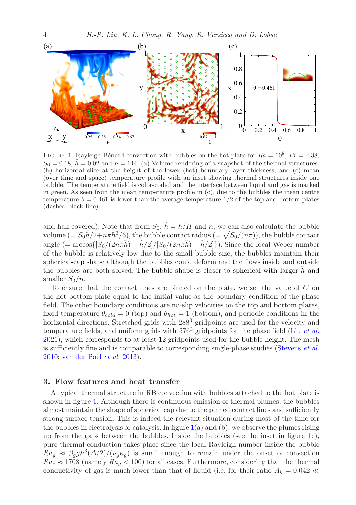

<span id="page-3-1"></span>FIGURE 1. Rayleigh-Bénard convection with bubbles on the hot plate for  $Ra = 10^8$ ,  $Pr = 4.38$ ,  $S_0 = 0.18$ ,  $\tilde{h} = 0.02$  and  $n = 144$ . (a) Volume rendering of a snapshot of the thermal structures, (b) horizontal slice at the height of the lower (hot) boundary layer thickness, and (c) mean (over time and space) temperature profile with an inset showing thermal structures inside one bubble. The temperature field is color-coded and the interface between liquid and gas is marked in green. As seen from the mean temperature profile in (c), due to the bubbles the mean centre temperature  $\bar{\theta} = 0.461$  is lower than the average temperature  $1/2$  of the top and bottom plates (dashed black line).

and half-covered). Note that from  $S_0$ ,  $\tilde{h} = h/H$  and n, we can also calculate the bubble volume  $(= S_0 \tilde{h}/2 + n \pi \tilde{h}^3/6)$ , the bubble contact radius  $(= \sqrt{S_0/(n \pi)})$ , the bubble contact angle (=  $\arccos\{[S_0/(2n\pi\tilde{h}) - \tilde{h}/2]/[S_0/(2n\pi\tilde{h}) + \tilde{h}/2]\}\)$ . Since the local Weber number of the bubble is relatively low due to the small bubble size, the bubbles maintain their spherical-cap shape although the bubbles could deform and the flows inside and outside the bubbles are both solved. The bubble shape is closer to spherical with larger  $h$  and smaller  $S_0/n$ .

To ensure that the contact lines are pinned on the plate, we set the value of C on the hot bottom plate equal to the initial value as the boundary condition of the phase field. The other boundary conditions are no-slip velocities on the top and bottom plates, fixed temperature  $\theta_{cold} = 0$  (top) and  $\theta_{hot} = 1$  (bottom), and periodic conditions in the horizontal directions. Stretched grids with  $288<sup>3</sup>$  gridpoints are used for the velocity and temperature fields, and uniform grids with  $576<sup>3</sup>$  gridpoints for the phase field (Liu *[et al.](#page-10-11)*) [2021\)](#page-10-11), which corresponds to at least 12 gridpoints used for the bubble height. The mesh is sufficiently fine and is comparable to corresponding single-phase studies [\(Stevens](#page-11-11) et al. [2010;](#page-11-11) [van der Poel](#page-10-19) et al. [2013\)](#page-10-19).

## <span id="page-3-0"></span>3. Flow features and heat transfer

A typical thermal structure in RB convection with bubbles attached to the hot plate is shown in figure [1.](#page-3-1) Although there is continuous emission of thermal plumes, the bubbles almost maintain the shape of spherical cap due to the pinned contact lines and sufficiently strong surface tension. This is indeed the relevant situation during most of the time for the bubbles in electrolysis or catalysis. In figure  $1(a)$  $1(a)$  and  $(b)$ , we observe the plumes rising up from the gaps between the bubbles. Inside the bubbles (see the inset in figure [1c](#page-3-1)), pure thermal conduction takes place since the local Rayleigh number inside the bubble  $Ra_g \approx \beta_g gh^3(\Delta/2)/(\nu_g \kappa_g)$  is small enough to remain under the onset of convection  $Ra_c \approx 1708$  (namely  $Ra_a < 100$ ) for all cases. Furthermore, considering that the thermal conductivity of gas is much lower than that of liquid (i.e. for their ratio  $\Lambda_k = 0.042 \ll$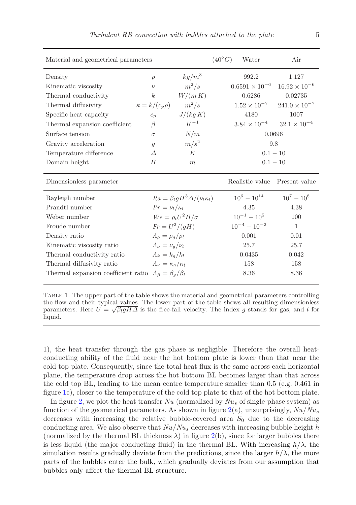| Material and geometrical parameters | $(40^{\circ}C)$                         | Water                                            | Air |                     |                                                |
|-------------------------------------|-----------------------------------------|--------------------------------------------------|-----|---------------------|------------------------------------------------|
| Density                             | $\rho$                                  | $kg/m^3$                                         |     | 992.2               | 1.127                                          |
| Kinematic viscosity                 | $\nu$                                   | $m^2/s$                                          |     |                     | $0.6591 \times 10^{-6}$ $16.92 \times 10^{-6}$ |
| Thermal conductivity                | $\boldsymbol{k}$                        | $W/(m\,K)$                                       |     | 0.6286              | 0.02735                                        |
| Thermal diffusivity                 | $\kappa = k/(c_p \rho)$ $m^2/s$         |                                                  |     |                     | $1.52 \times 10^{-7}$ $241.0 \times 10^{-7}$   |
| Specific heat capacity              | $c_p$                                   | J/(kq K)                                         |     | 4180                | 1007                                           |
| Thermal expansion coefficient       | $\beta$                                 | $K^{-1}$                                         |     |                     | $3.84 \times 10^{-4}$ $32.1 \times 10^{-4}$    |
| Surface tension                     | $\sigma$                                | N/m                                              |     | 0.0696              |                                                |
| Gravity acceleration                | $\mathfrak{g}$                          | $m/s^2$                                          |     | 9.8                 |                                                |
| Temperature difference              | $\Lambda$                               | К                                                |     | $0.1 - 10$          |                                                |
| Domain height                       | H                                       | $0.1 - 10$<br>m                                  |     |                     |                                                |
|                                     |                                         |                                                  |     |                     |                                                |
| Dimensionless parameter             |                                         |                                                  |     | Realistic value     | Present value                                  |
| Rayleigh number                     |                                         | $Ra = \beta_{l}gH^{3}\Delta/(\nu_{l}\kappa_{l})$ |     | $10^6 - 10^{14}$    | $10^7 - 10^8$                                  |
| Prandtl number                      | $Pr = \nu_l/\kappa_l$                   |                                                  |     | 4.35                | 4.38                                           |
| Weber number                        |                                         | $We = \rho_l U^2 H / \sigma$                     |     | $10^{-1} - 10^{5}$  | 100                                            |
| Froude number                       | $Fr = U^2/(gH)$                         |                                                  |     | $10^{-4} - 10^{-2}$ | $\mathbf{1}$                                   |
| Density ratio                       | $\Lambda_{\rho} = \rho_{\rho}/\rho_{l}$ |                                                  |     | 0.001               | 0.01                                           |
| Kinematic viscosity ratio           | $\Lambda_{\nu} = \nu_{g}/\nu_{l}$       |                                                  |     | 25.7                | 25.7                                           |
| Thermal conductivity ratio          | $\Lambda_k = k_a/k_l$                   |                                                  |     | 0.0435              | 0.042                                          |
| Thermal diffusivity ratio           | $\Lambda_{\kappa} = \kappa_a/\kappa_l$  |                                                  |     | 158                 | 158                                            |

<span id="page-4-0"></span>Table 1. The upper part of the table shows the material and geometrical parameters controlling the flow and their typical values. The lower part of the table shows all resulting dimensionless parameters. Here  $U = \sqrt{\beta_l g H \Delta}$  is the free-fall velocity. The index g stands for gas, and l for liquid.

1), the heat transfer through the gas phase is negligible. Therefore the overall heatconducting ability of the fluid near the hot bottom plate is lower than that near the cold top plate. Consequently, since the total heat flux is the same across each horizontal plane, the temperature drop across the hot bottom BL becomes larger than that across the cold top BL, leading to the mean centre temperature smaller than 0.5 (e.g. 0.461 in figure [1c](#page-3-1)), closer to the temperature of the cold top plate to that of the hot bottom plate.

In figure [2,](#page-5-0) we plot the heat transfer  $Nu$  (normalized by  $Nu_s$  of single-phase system) as function of the geometrical parameters. As shown in figure  $2(a)$  $2(a)$ , unsurprisingly,  $Nu/Nu_s$ decreases with increasing the relative bubble-covered area  $S_0$  due to the decreasing conducting area. We also observe that  $Nu/Nu_s$  decreases with increasing bubble height h (normalized by the thermal BL thickness  $\lambda$ ) in figure [2\(](#page-5-0)b), since for larger bubbles there is less liquid (the major conducting fluid) in the thermal BL. With increasing  $h/\lambda$ , the simulation results gradually deviate from the predictions, since the larger  $h/\lambda$ , the more parts of the bubbles enter the bulk, which gradually deviates from our assumption that bubbles only affect the thermal BL structure.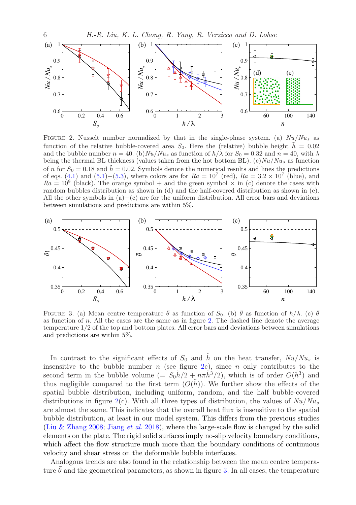

<span id="page-5-0"></span>FIGURE 2. Nusselt number normalized by that in the single-phase system. (a)  $Nu/Nu_s$  as function of the relative bubble-covered area  $S_0$ . Here the (relative) bubble height  $\tilde{h} = 0.02$ and the bubble number  $n = 40$ . (b)  $Nu/Nu_s$  as function of  $h/\lambda$  for  $S_0 = 0.32$  and  $n = 40$ , with  $\lambda$ being the thermal BL thickness (values taken from the hot bottom BL).  $(c)Nu/Nu_s$  as function of n for  $S_0 = 0.18$  and  $\tilde{h} = 0.02$ . Symbols denote the numerical results and lines the predictions of eqs.  $(4.1)$  and  $(5.1)$  –[\(5.3\)](#page-8-1), where colors are for  $Ra = 10^7$  (red),  $Ra = 3.2 \times 10^7$  (blue), and  $Ra = 10^8$  (black). The orange symbol + and the green symbol  $\times$  in (c) denote the cases with random bubbles distribution as shown in (d) and the half-covered distribution as shown in (e). All the other symbols in  $(a)$ – $(c)$  are for the uniform distribution. All error bars and deviations between simulations and predictions are within 5%.



<span id="page-5-1"></span>FIGURE 3. (a) Mean centre temperature  $\bar{\theta}$  as function of  $S_0$ . (b)  $\bar{\theta}$  as function of  $h/\lambda$ . (c)  $\bar{\theta}$ as function of n. All the cases are the same as in figure [2.](#page-5-0) The dashed line denote the average temperature 1/2 of the top and bottom plates. All error bars and deviations between simulations and predictions are within 5%.

In contrast to the significant effects of  $S_0$  and  $\tilde{h}$  on the heat transfer,  $Nu/Nu_s$  is insensitive to the bubble number  $n$  (see figure [2c](#page-5-0)), since  $n$  only contributes to the second term in the bubble volume  $(= S_0 \tilde{h}/2 + n\pi \tilde{h}^3/2)$ , which is of order  $O(\tilde{h}^3)$  and thus negligible compared to the first term  $(O(h))$ . We further show the effects of the spatial bubble distribution, including uniform, random, and the half bubble-covered distributions in figure [2\(](#page-5-0)c). With all three types of distribution, the values of  $Nu/Nu_s$ are almost the same. This indicates that the overall heat flux is insensitive to the spatial bubble distribution, at least in our model system. This differs from the previous studies [\(Liu & Zhang 2008;](#page-10-20) [Jiang](#page-10-9) et al. [2018\)](#page-10-9), where the large-scale flow is changed by the solid elements on the plate. The rigid solid surfaces imply no-slip velocity boundary conditions, which affect the flow structure much more than the boundary conditions of continuous velocity and shear stress on the deformable bubble interfaces.

Analogous trends are also found in the relationship between the mean centre temperature  $\bar{\theta}$  and the geometrical parameters, as shown in figure [3.](#page-5-1) In all cases, the temperature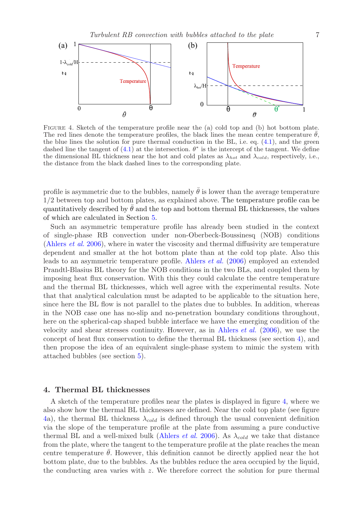

<span id="page-6-1"></span>Figure 4. Sketch of the temperature profile near the (a) cold top and (b) hot bottom plate. The red lines denote the temperature profiles, the black lines the mean centre temperature  $\bar{\theta}$ , the blue lines the solution for pure thermal conduction in the BL, i.e. eq.  $(4.1)$ , and the green dashed line the tangent of  $(4.1)$  at the intersection.  $\theta^*$  is the intercept of the tangent. We define the dimensional BL thickness near the hot and cold plates as  $\lambda_{hot}$  and  $\lambda_{cold}$ , respectively, i.e., the distance from the black dashed lines to the corresponding plate.

profile is asymmetric due to the bubbles, namely  $\bar{\theta}$  is lower than the average temperature 1/2 between top and bottom plates, as explained above. The temperature profile can be quantitatively described by  $\theta$  and the top and bottom thermal BL thicknesses, the values of which are calculated in Section [5.](#page-7-0)

Such an asymmetric temperature profile has already been studied in the context of single-phase RB convection under non-Oberbeck-Boussinesq (NOB) conditions [\(Ahlers](#page-10-21) et al. [2006](#page-10-21)), where in water the viscosity and thermal diffusivity are temperature dependent and smaller at the hot bottom plate than at the cold top plate. Also this leads to an asymmetric temperature profile. [Ahlers](#page-10-21) et al. [\(2006\)](#page-10-21) employed an extended Prandtl-Blasius BL theory for the NOB conditions in the two BLs, and coupled them by imposing heat flux conservation. With this they could calculate the centre temperature and the thermal BL thicknesses, which well agree with the experimental results. Note that that analytical calculation must be adapted to be applicable to the situation here, since here the BL flow is not parallel to the plates due to bubbles. In addition, whereas in the NOB case one has no-slip and no-penetration boundary conditions throughout, here on the spherical-cap shaped bubble interface we have the emerging condition of the velocity and shear stresses continuity. However, as in [Ahlers](#page-10-21) *et al.* [\(2006\)](#page-10-21), we use the concept of heat flux conservation to define the thermal BL thickness (see section [4\)](#page-6-0), and then propose the idea of an equivalent single-phase system to mimic the system with attached bubbles (see section [5\)](#page-7-0).

#### <span id="page-6-0"></span>4. Thermal BL thicknesses

A sketch of the temperature profiles near the plates is displayed in figure [4,](#page-6-1) where we also show how the thermal BL thicknesses are defined. Near the cold top plate (see figure [4a](#page-6-1)), the thermal BL thickness  $\lambda_{cold}$  is defined through the usual convenient definition via the slope of the temperature profile at the plate from assuming a pure conductive thermal BL and a well-mixed bulk [\(Ahlers](#page-10-21) *et al.* [2006\)](#page-10-21). As  $\lambda_{cold}$  we take that distance from the plate, where the tangent to the temperature profile at the plate reaches the mean centre temperature  $\bar{\theta}$ . However, this definition cannot be directly applied near the hot bottom plate, due to the bubbles. As the bubbles reduce the area occupied by the liquid, the conducting area varies with  $z$ . We therefore correct the solution for pure thermal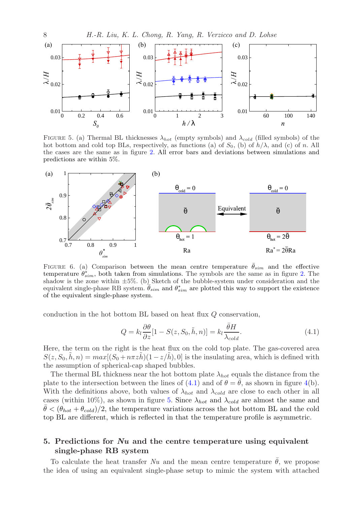

<span id="page-7-2"></span>FIGURE 5. (a) Thermal BL thicknesses  $\lambda_{hot}$  (empty symbols) and  $\lambda_{cold}$  (filled symbols) of the hot bottom and cold top BLs, respectively, as functions (a) of  $S_0$ , (b) of  $h/\lambda$ , and (c) of n. All the cases are the same as in figure [2.](#page-5-0) All error bars and deviations between simulations and predictions are within 5%.



<span id="page-7-3"></span>FIGURE 6. (a) Comparison between the mean centre temperature  $\bar{\theta}_{sim}$  and the effective temperature  $\hat{\theta}_{sim}^*$ , both taken from simulations. The symbols are the same as in figure [2.](#page-5-0) The shadow is the zone within  $\pm 5\%$ . (b) Sketch of the bubble-system under consideration and the equivalent single-phase RB system.  $\bar{\theta}_{sim}$  and  $\theta_{sim}^{*}$  are plotted this way to support the existence of the equivalent single-phase system.

conduction in the hot bottom BL based on heat flux Q conservation,

<span id="page-7-1"></span>
$$
Q = k_l \frac{\partial \theta}{\partial z} [1 - S(z, S_0, \tilde{h}, n)] = k_l \frac{\bar{\theta} H}{\lambda_{cold}}.
$$
\n(4.1)

Here, the term on the right is the heat flux on the cold top plate. The gas-covered area  $S(z, S_0, \tilde{h}, n) = max[(S_0 + n\pi z\tilde{h})(1 - z/\tilde{h}), 0]$  is the insulating area, which is defined with the assumption of spherical-cap shaped bubbles.

The thermal BL thickness near the hot bottom plate  $\lambda_{hot}$  equals the distance from the plate to the intersection between the lines of  $(4.1)$  and of  $\theta = \bar{\theta}$ , as shown in figure [4\(](#page-6-1)b). With the definitions above, both values of  $\lambda_{hot}$  and  $\lambda_{cold}$  are close to each other in all cases (within 10%), as shown in figure [5.](#page-7-2) Since  $\lambda_{hot}$  and  $\lambda_{cold}$  are almost the same and  $\theta \leq (\theta_{hot} + \theta_{cold})/2$ , the temperature variations across the hot bottom BL and the cold top BL are different, which is reflected in that the temperature profile is asymmetric.

# <span id="page-7-0"></span>5. Predictions for  $Nu$  and the centre temperature using equivalent single-phase RB system

To calculate the heat transfer Nu and the mean centre temperature  $\hat{\theta}$ , we propose the idea of using an equivalent single-phase setup to mimic the system with attached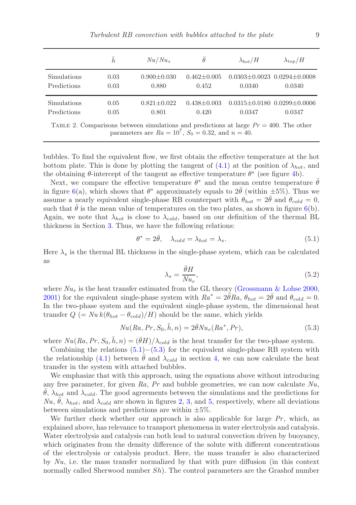|                                                                                                                                                        | $\tilde{h}$ | $Nu/Nu_s$         | $\theta$        | $\lambda_{bot}/H$ | $\lambda_{top}/H$                       |  |  |  |
|--------------------------------------------------------------------------------------------------------------------------------------------------------|-------------|-------------------|-----------------|-------------------|-----------------------------------------|--|--|--|
| Simulations                                                                                                                                            | 0.03        | $0.900 + 0.030$   | $0.462 + 0.005$ | 0.0340            | $0.0303 \pm 0.0023$ $0.0294 \pm 0.0008$ |  |  |  |
| Predictions                                                                                                                                            | 0.03        | 0.880             | 0.452           |                   | 0.0340                                  |  |  |  |
| Simulations                                                                                                                                            | 0.05        | $0.821 \pm 0.022$ | $0.438 + 0.003$ | 0.0347            | $0.0315 \pm 0.0180$ $0.0299 \pm 0.0006$ |  |  |  |
| Predictions                                                                                                                                            | 0.05        | 0.801             | 0.420           |                   | 0.0347                                  |  |  |  |
| TABLE 2. Comparisons between simulations and predictions at large $Pr = 400$ . The other<br>parameters are $Ra = 10^7$ , $S_0 = 0.32$ , and $n = 40$ . |             |                   |                 |                   |                                         |  |  |  |

<span id="page-8-2"></span>bubbles. To find the equivalent flow, we first obtain the effective temperature at the hot bottom plate. This is done by plotting the tangent of  $(4.1)$  at the position of  $\lambda_{hot}$ , and the obtaining  $\theta$ -intercept of the tangent as effective temperature  $\theta^*$  (see figure [4b](#page-6-1)).

Next, we compare the effective temperature  $\theta^*$  and the mean centre temperature  $\bar{\theta}$ in figure [6\(](#page-7-3)a), which shows that  $\theta^*$  approximately equals to  $2\bar{\theta}$  (within  $\pm 5\%$ ). Thus we assume a nearly equivalent single-phase RB counterpart with  $\theta_{hot} = 2\theta$  and  $\theta_{cold} = 0$ , such that  $\bar{\theta}$  is the mean value of temperatures on the two plates, as shown in figure [6\(](#page-7-3)b). Again, we note that  $\lambda_{hot}$  is close to  $\lambda_{cold}$ , based on our definition of the thermal BL thickness in Section [3.](#page-3-0) Thus, we have the following relations:

<span id="page-8-0"></span>
$$
\theta^* = 2\bar{\theta}, \quad \lambda_{cold} = \lambda_{hot} = \lambda_s. \tag{5.1}
$$

Here  $\lambda_s$  is the thermal BL thickness in the single-phase system, which can be calculated as

$$
\lambda_s = \frac{\bar{\theta}H}{Nu_e},\tag{5.2}
$$

where  $Nu_e$  is the heat transfer estimated from the GL theory [\(Grossmann & Lohse 2000,](#page-10-12) [2001\)](#page-10-13) for the equivalent single-phase system with  $Ra^* = 2\bar{\theta}Ra$ ,  $\theta_{hot} = 2\bar{\theta}$  and  $\theta_{cold} = 0$ . In the two-phase system and the equivalent single-phase system, the dimensional heat transfer  $Q = Nu k(\theta_{hot} - \theta_{cold})/H$ ) should be the same, which yields

<span id="page-8-1"></span>
$$
Nu(Ra, Pr, S_0, \tilde{h}, n) = 2\bar{\theta}Nu_e(Ra^*, Pr),
$$
\n
$$
(5.3)
$$

where  $Nu(Ra, Pr, S_0, \tilde{h}, n) = (\bar{\theta}H)/\lambda_{cold}$  is the heat transfer for the two-phase system.

Combining the relations  $(5.1)$ − $(5.3)$  for the equivalent single-phase RB system with the relationship [\(4.1\)](#page-7-1) between  $\theta$  and  $\lambda_{cold}$  in section [4,](#page-6-0) we can now calculate the heat transfer in the system with attached bubbles.

We emphasize that with this approach, using the equations above without introducing any free parameter, for given  $Ra$ ,  $Pr$  and bubble geometries, we can now calculate  $Nu$ ,  $\theta$ ,  $\lambda_{hot}$  and  $\lambda_{cold}$ . The good agreements between the simulations and the predictions for  $Nu, \bar{\theta}, \lambda_{hot},$  and  $\lambda_{cold}$  are shown in figures [2,](#page-5-0) [3,](#page-5-1) and [5,](#page-7-2) respectively, where all deviations between simulations and predictions are within  $\pm 5\%$ .

We further check whether our approach is also applicable for large  $Pr$ , which, as explained above, has relevance to transport phenomena in water electrolysis and catalysis. Water electrolysis and catalysis can both lead to natural convection driven by buoyancy, which originates from the density difference of the solute with different concentrations of the electrolysis or catalysis product. Here, the mass transfer is also characterized by  $Nu$ , i.e. the mass transfer normalized by that with pure diffusion (in this context normally called Sherwood number  $Sh$ ). The control parameters are the Grashof number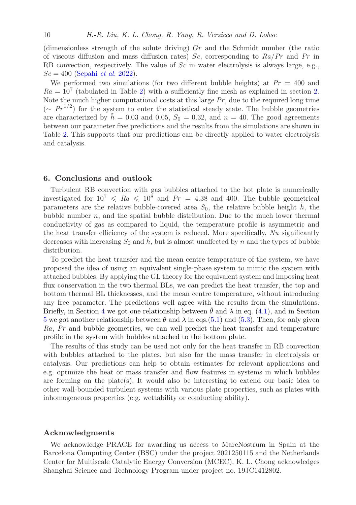(dimensionless strength of the solute driving)  $Gr$  and the Schmidt number (the ratio of viscous diffusion and mass diffusion rates)  $Sc$ , corresponding to  $Ra/Pr$  and  $Pr$  in RB convection, respectively. The value of Sc in water electrolysis is always large, e.g.,  $Sc = 400$  [\(Sepahi](#page-10-0) *et al.* [2022\)](#page-10-0).

We performed two simulations (for two different bubble heights) at  $Pr = 400$  and  $Ra = 10<sup>7</sup>$  (tabulated in Table [2\)](#page-8-2) with a sufficiently fine mesh as explained in section [2.](#page-2-0) Note the much higher computational costs at this large  $Pr$ , due to the required long time  $({\sim P r^{1/2}})$  for the system to enter the statistical steady state. The bubble geometries are characterized by  $\tilde{h} = 0.03$  and 0.05,  $S_0 = 0.32$ , and  $n = 40$ . The good agreements between our parameter free predictions and the results from the simulations are shown in Table [2.](#page-8-2) This supports that our predictions can be directly applied to water electrolysis and catalysis.

#### 6. Conclusions and outlook

Turbulent RB convection with gas bubbles attached to the hot plate is numerically investigated for  $10^7 \leq R_a \leq 10^8$  and  $Pr = 4.38$  and 400. The bubble geometrical parameters are the relative bubble-covered area  $S_0$ , the relative bubble height  $\tilde{h}$ , the bubble number  $n$ , and the spatial bubble distribution. Due to the much lower thermal conductivity of gas as compared to liquid, the temperature profile is asymmetric and the heat transfer efficiency of the system is reduced. More specifically,  $Nu$  significantly decreases with increasing  $S_0$  and h, but is almost unaffected by n and the types of bubble distribution.

To predict the heat transfer and the mean centre temperature of the system, we have proposed the idea of using an equivalent single-phase system to mimic the system with attached bubbles. By applying the GL theory for the equivalent system and imposing heat flux conservation in the two thermal BLs, we can predict the heat transfer, the top and bottom thermal BL thicknesses, and the mean centre temperature, without introducing any free parameter. The predictions well agree with the results from the simulations. Briefly, in Section [4](#page-6-0) we got one relationship between  $\theta$  and  $\lambda$  in eq. [\(4.1\)](#page-7-1), and in Section [5](#page-7-0) we got another relationship between  $\theta$  and  $\lambda$  in eqs.[\(5.1\)](#page-8-0) and [\(5.3\)](#page-8-1). Then, for only given Ra, Pr and bubble geometries, we can well predict the heat transfer and temperature profile in the system with bubbles attached to the bottom plate.

The results of this study can be used not only for the heat transfer in RB convection with bubbles attached to the plates, but also for the mass transfer in electrolysis or catalysis. Our predictions can help to obtain estimates for relevant applications and e.g. optimize the heat or mass transfer and flow features in systems in which bubbles are forming on the plate $(s)$ . It would also be interesting to extend our basic idea to other wall-bounded turbulent systems with various plate properties, such as plates with inhomogeneous properties (e.g. wettability or conducting ability).

## Acknowledgments

We acknowledge PRACE for awarding us access to MareNostrum in Spain at the Barcelona Computing Center (BSC) under the project 2021250115 and the Netherlands Center for Multiscale Catalytic Energy Conversion (MCEC). K. L. Chong acknowledges Shanghai Science and Technology Program under project no. 19JC1412802.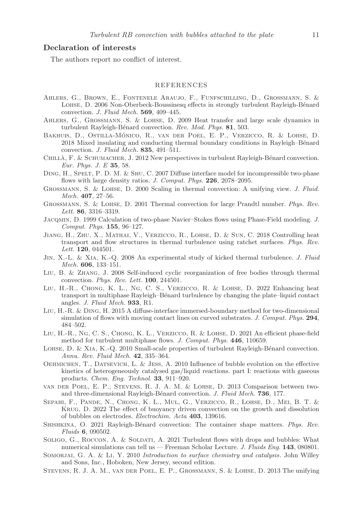# Declaration of interests

The authors report no conflict of interest.

#### REFERENCES

- <span id="page-10-21"></span>Ahlers, G., Brown, E., Fontenele Araujo, F., Funfschilling, D., Grossmann, S. & LOHSE, D. 2006 Non-Oberbeck-Boussinesq effects in strongly turbulent Rayleigh-Bénard convection. J. Fluid Mech. 569, 409–445.
- <span id="page-10-3"></span>Ahlers, G., Grossmann, S. & Lohse, D. 2009 Heat transfer and large scale dynamics in turbulent Rayleigh-Bénard convection. Rev. Mod. Phys. 81, 503.
- <span id="page-10-7"></span>Bakhuis, D., Ostilla-Monico, R., van der Poel, E. P., Verzicco, R. & Lohse, D. ´ 2018 Mixed insulating and conducting thermal boundary conditions in Rayleigh–Bénard convection. *J. Fluid Mech.* **835**, 491–511.
- <span id="page-10-5"></span>CHILLÀ, F. & SCHUMACHER, J. 2012 New perspectives in turbulent Rayleigh-Bénard convection. Eur. Phys. J. E 35, 58.
- <span id="page-10-16"></span>DING, H., SPELT, P. D. M. & SHU, C. 2007 Diffuse interface model for incompressible two-phase flows with large density ratios. J. Comput. Phys. 226, 2078-2095.
- <span id="page-10-12"></span>Grossmann, S. & Lohse, D. 2000 Scaling in thermal convection: A unifying view. J. Fluid. Mech. 407, 27–56.
- <span id="page-10-13"></span>Grossmann, S. & Lohse, D. 2001 Thermal convection for large Prandtl number. Phys. Rev. Lett. 86, 3316–3319.
- <span id="page-10-15"></span>Jacqmin, D. 1999 Calculation of two-phase Navier–Stokes flows using Phase-Field modeling. J. Comput. Phys. 155, 96–127.
- <span id="page-10-9"></span>Jiang, H., Zhu, X., Mathai, V., Verzicco, R., Lohse, D. & Sun, C. 2018 Controlling heat transport and flow structures in thermal turbulence using ratchet surfaces. Phys. Rev. Lett. **120**, 044501.
- <span id="page-10-8"></span>Jin, X.-L. & Xia, K.-Q. 2008 An experimental study of kicked thermal turbulence. J. Fluid Mech. 606, 133–151.
- <span id="page-10-20"></span>Liu, B. & Zhang, J. 2008 Self-induced cyclic reorganization of free bodies through thermal convection. Phys. Rev. Lett. 100, 244501.
- <span id="page-10-10"></span>Liu, H.-R., Chong, K. L., Ng, C. S., Verzicco, R. & Lohse, D. 2022 Enhancing heat transport in multiphase Rayleigh–Bénard turbulence by changing the plate–liquid contact angles. *J. Fluid Mech.* 933, R1.
- <span id="page-10-17"></span>Liu, H.-R. & Ding, H. 2015 A diffuse-interface immersed-boundary method for two-dimensional simulation of flows with moving contact lines on curved substrates. J. Comput. Phys. 294, 484–502.
- <span id="page-10-11"></span>Liu, H.-R., Ng, C. S., Chong, K. L., Verzicco, R. & Lohse, D. 2021 An efficient phase-field method for turbulent multiphase flows. J. Comput. Phys. 446, 110659.
- <span id="page-10-4"></span>LOHSE, D. & XIA, K.-Q. 2010 Small-scale properties of turbulent Rayleigh-Bénard convection. Annu. Rev. Fluid Mech. 42, 335–364.
- <span id="page-10-2"></span>Oehmichen, T., Datsevich, L. & Jess, A. 2010 Influence of bubble evolution on the effective kinetics of heterogeneously catalysed gas/liquid reactions. part I: reactions with gaseous products. Chem. Eng. Technol. 33, 911–920.
- <span id="page-10-19"></span>van der Poel, E. P., Stevens, R. J. A. M. & Lohse, D. 2013 Comparison between twoand three-dimensional Rayleigh-Bénard convection. J. Fluid Mech. 736, 177.
- <span id="page-10-0"></span>Sepahi, F., Pande, N., Chong, K. L., Mul, G., Verzicco, R., Lohse, D., Mei, B. T. & Krug, D. 2022 The effect of buoyancy driven convection on the growth and dissolution of bubbles on electrodes. Electrochim. Acta 403, 139616.
- <span id="page-10-6"></span>SHISHKINA, O. 2021 Rayleigh-Bénard convection: The container shape matters. Phys. Rev. Fluids 6, 090502.
- <span id="page-10-18"></span>SOLIGO, G., ROCCON, A. & SOLDATI, A. 2021 Turbulent flows with drops and bubbles: What numerical simulations can tell us — Freeman Scholar Lecture. J. Fluids Eng.  $143, 080801$ .
- <span id="page-10-1"></span>SOMORJAI, G. A. & LI, Y. 2010 Introduction to surface chemistry and catalysis. John Willey and Sons, Inc., Hoboken, New Jersey, second edition.
- <span id="page-10-14"></span>Stevens, R. J. A. M., van der Poel, E. P., Grossmann, S. & Lohse, D. 2013 The unifying